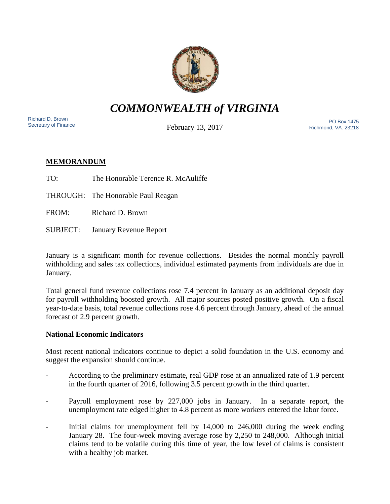

# *COMMONWEALTH of VIRGINIA*

Richard D. Brown<br>Secretary of Finance

February 13, 2017

Nichard D. Brown<br>Secretary of Finance The PO Box 1475 Richmond, VA. 23218

# **MEMORANDUM**

TO: The Honorable Terence R. McAuliffe

THROUGH: The Honorable Paul Reagan

FROM: Richard D. Brown

SUBJECT: January Revenue Report

January is a significant month for revenue collections. Besides the normal monthly payroll withholding and sales tax collections, individual estimated payments from individuals are due in January.

Total general fund revenue collections rose 7.4 percent in January as an additional deposit day for payroll withholding boosted growth. All major sources posted positive growth. On a fiscal year-to-date basis, total revenue collections rose 4.6 percent through January, ahead of the annual forecast of 2.9 percent growth.

# **National Economic Indicators**

Most recent national indicators continue to depict a solid foundation in the U.S. economy and suggest the expansion should continue.

- According to the preliminary estimate, real GDP rose at an annualized rate of 1.9 percent in the fourth quarter of 2016, following 3.5 percent growth in the third quarter.
- Payroll employment rose by 227,000 jobs in January. In a separate report, the unemployment rate edged higher to 4.8 percent as more workers entered the labor force.
- Initial claims for unemployment fell by 14,000 to 246,000 during the week ending January 28. The four-week moving average rose by 2,250 to 248,000. Although initial claims tend to be volatile during this time of year, the low level of claims is consistent with a healthy job market.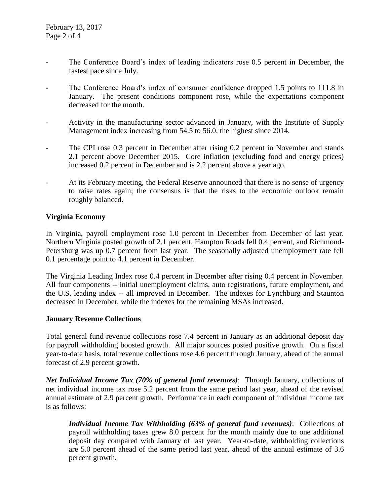- The Conference Board's index of leading indicators rose 0.5 percent in December, the fastest pace since July.
- The Conference Board's index of consumer confidence dropped 1.5 points to 111.8 in January. The present conditions component rose, while the expectations component decreased for the month.
- Activity in the manufacturing sector advanced in January, with the Institute of Supply Management index increasing from 54.5 to 56.0, the highest since 2014.
- The CPI rose 0.3 percent in December after rising 0.2 percent in November and stands 2.1 percent above December 2015. Core inflation (excluding food and energy prices) increased 0.2 percent in December and is 2.2 percent above a year ago.
- At its February meeting, the Federal Reserve announced that there is no sense of urgency to raise rates again; the consensus is that the risks to the economic outlook remain roughly balanced.

## **Virginia Economy**

In Virginia, payroll employment rose 1.0 percent in December from December of last year. Northern Virginia posted growth of 2.1 percent, Hampton Roads fell 0.4 percent, and Richmond-Petersburg was up 0.7 percent from last year. The seasonally adjusted unemployment rate fell 0.1 percentage point to 4.1 percent in December.

The Virginia Leading Index rose 0.4 percent in December after rising 0.4 percent in November. All four components -- initial unemployment claims, auto registrations, future employment, and the U.S. leading index -- all improved in December. The indexes for Lynchburg and Staunton decreased in December, while the indexes for the remaining MSAs increased.

### **January Revenue Collections**

Total general fund revenue collections rose 7.4 percent in January as an additional deposit day for payroll withholding boosted growth. All major sources posted positive growth. On a fiscal year-to-date basis, total revenue collections rose 4.6 percent through January, ahead of the annual forecast of 2.9 percent growth.

*Net Individual Income Tax (70% of general fund revenues)*: Through January, collections of net individual income tax rose 5.2 percent from the same period last year, ahead of the revised annual estimate of 2.9 percent growth. Performance in each component of individual income tax is as follows:

*Individual Income Tax Withholding (63% of general fund revenues)*: Collections of payroll withholding taxes grew 8.0 percent for the month mainly due to one additional deposit day compared with January of last year. Year-to-date, withholding collections are 5.0 percent ahead of the same period last year, ahead of the annual estimate of 3.6 percent growth.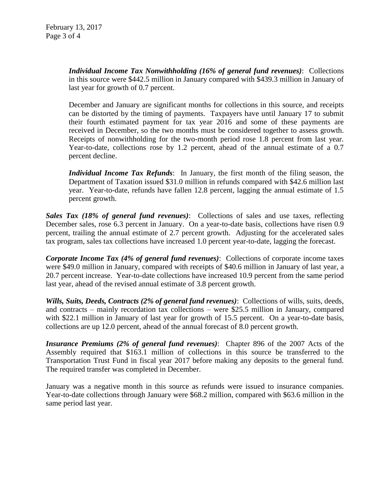*Individual Income Tax Nonwithholding (16% of general fund revenues)*: Collections in this source were \$442.5 million in January compared with \$439.3 million in January of last year for growth of 0.7 percent.

December and January are significant months for collections in this source, and receipts can be distorted by the timing of payments. Taxpayers have until January 17 to submit their fourth estimated payment for tax year 2016 and some of these payments are received in December, so the two months must be considered together to assess growth. Receipts of nonwithholding for the two-month period rose 1.8 percent from last year. Year-to-date, collections rose by 1.2 percent, ahead of the annual estimate of a 0.7 percent decline.

*Individual Income Tax Refunds*: In January, the first month of the filing season, the Department of Taxation issued \$31.0 million in refunds compared with \$42.6 million last year. Year-to-date, refunds have fallen 12.8 percent, lagging the annual estimate of 1.5 percent growth.

*Sales Tax (18% of general fund revenues)*: Collections of sales and use taxes, reflecting December sales, rose 6.3 percent in January. On a year-to-date basis, collections have risen 0.9 percent, trailing the annual estimate of 2.7 percent growth. Adjusting for the accelerated sales tax program, sales tax collections have increased 1.0 percent year-to-date, lagging the forecast.

*Corporate Income Tax (4% of general fund revenues)*: Collections of corporate income taxes were \$49.0 million in January, compared with receipts of \$40.6 million in January of last year, a 20.7 percent increase. Year-to-date collections have increased 10.9 percent from the same period last year, ahead of the revised annual estimate of 3.8 percent growth.

*Wills, Suits, Deeds, Contracts (2% of general fund revenues)*: Collections of wills, suits, deeds, and contracts – mainly recordation tax collections – were \$25.5 million in January, compared with \$22.1 million in January of last year for growth of 15.5 percent. On a year-to-date basis, collections are up 12.0 percent, ahead of the annual forecast of 8.0 percent growth.

*Insurance Premiums (2% of general fund revenues)*: Chapter 896 of the 2007 Acts of the Assembly required that \$163.1 million of collections in this source be transferred to the Transportation Trust Fund in fiscal year 2017 before making any deposits to the general fund. The required transfer was completed in December.

January was a negative month in this source as refunds were issued to insurance companies. Year-to-date collections through January were \$68.2 million, compared with \$63.6 million in the same period last year.